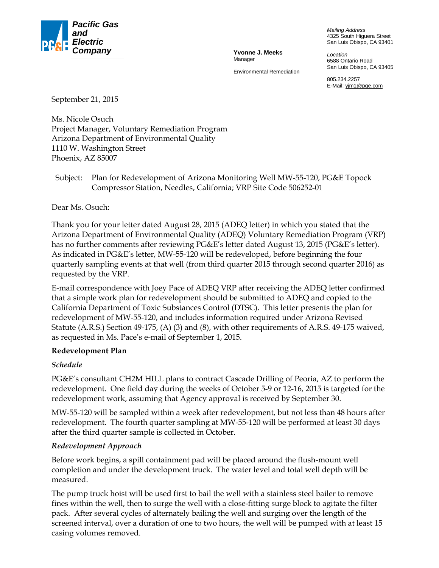

Manager

Environmental Remediation

*Mailing Address*  4325 South Higuera Street San Luis Obispo, CA 93401

*Location*  6588 Ontario Road San Luis Obispo, CA 93405

805.234.2257 E-Mail: yjm1@pge.com

September 21, 2015

Ms. Nicole Osuch Project Manager, Voluntary Remediation Program Arizona Department of Environmental Quality 1110 W. Washington Street Phoenix, AZ 85007

Subject: Plan for Redevelopment of Arizona Monitoring Well MW-55-120, PG&E Topock Compressor Station, Needles, California; VRP Site Code 506252-01

Dear Ms. Osuch:

Thank you for your letter dated August 28, 2015 (ADEQ letter) in which you stated that the Arizona Department of Environmental Quality (ADEQ) Voluntary Remediation Program (VRP) has no further comments after reviewing PG&E's letter dated August 13, 2015 (PG&E's letter). As indicated in PG&E's letter, MW-55-120 will be redeveloped, before beginning the four quarterly sampling events at that well (from third quarter 2015 through second quarter 2016) as requested by the VRP.

E-mail correspondence with Joey Pace of ADEQ VRP after receiving the ADEQ letter confirmed that a simple work plan for redevelopment should be submitted to ADEQ and copied to the California Department of Toxic Substances Control (DTSC). This letter presents the plan for redevelopment of MW-55-120, and includes information required under Arizona Revised Statute (A.R.S.) Section 49-175, (A) (3) and (8), with other requirements of A.R.S. 49-175 waived, as requested in Ms. Pace's e-mail of September 1, 2015.

#### **Redevelopment Plan**

#### *Schedule*

PG&E's consultant CH2M HILL plans to contract Cascade Drilling of Peoria, AZ to perform the redevelopment. One field day during the weeks of October 5-9 or 12-16, 2015 is targeted for the redevelopment work, assuming that Agency approval is received by September 30.

MW-55-120 will be sampled within a week after redevelopment, but not less than 48 hours after redevelopment. The fourth quarter sampling at MW-55-120 will be performed at least 30 days after the third quarter sample is collected in October.

#### *Redevelopment Approach*

Before work begins, a spill containment pad will be placed around the flush-mount well completion and under the development truck. The water level and total well depth will be measured.

The pump truck hoist will be used first to bail the well with a stainless steel bailer to remove fines within the well, then to surge the well with a close-fitting surge block to agitate the filter pack. After several cycles of alternately bailing the well and surging over the length of the screened interval, over a duration of one to two hours, the well will be pumped with at least 15 casing volumes removed.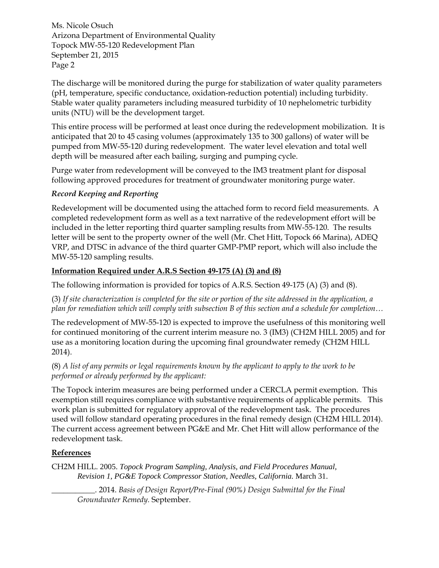Ms. Nicole Osuch Arizona Department of Environmental Quality Topock MW-55-120 Redevelopment Plan September 21, 2015 Page 2

The discharge will be monitored during the purge for stabilization of water quality parameters (pH, temperature, specific conductance, oxidation-reduction potential) including turbidity. Stable water quality parameters including measured turbidity of 10 nephelometric turbidity units (NTU) will be the development target.

This entire process will be performed at least once during the redevelopment mobilization. It is anticipated that 20 to 45 casing volumes (approximately 135 to 300 gallons) of water will be pumped from MW-55-120 during redevelopment. The water level elevation and total well depth will be measured after each bailing, surging and pumping cycle.

Purge water from redevelopment will be conveyed to the IM3 treatment plant for disposal following approved procedures for treatment of groundwater monitoring purge water.

## *Record Keeping and Reporting*

Redevelopment will be documented using the attached form to record field measurements. A completed redevelopment form as well as a text narrative of the redevelopment effort will be included in the letter reporting third quarter sampling results from MW-55-120. The results letter will be sent to the property owner of the well (Mr. Chet Hitt, Topock 66 Marina), ADEQ VRP, and DTSC in advance of the third quarter GMP-PMP report, which will also include the MW-55-120 sampling results.

# **Information Required under A.R.S Section 49-175 (A) (3) and (8)**

The following information is provided for topics of A.R.S. Section 49-175 (A) (3) and (8).

(3) *If site characterization is completed for the site or portion of the site addressed in the application, a plan for remediation which will comply with subsection B of this section and a schedule for completion…*

The redevelopment of MW-55-120 is expected to improve the usefulness of this monitoring well for continued monitoring of the current interim measure no. 3 (IM3) (CH2M HILL 2005) and for use as a monitoring location during the upcoming final groundwater remedy (CH2M HILL 2014).

### (8) *A list of any permits or legal requirements known by the applicant to apply to the work to be performed or already performed by the applicant:*

The Topock interim measures are being performed under a CERCLA permit exemption. This exemption still requires compliance with substantive requirements of applicable permits. This work plan is submitted for regulatory approval of the redevelopment task. The procedures used will follow standard operating procedures in the final remedy design (CH2M HILL 2014). The current access agreement between PG&E and Mr. Chet Hitt will allow performance of the redevelopment task.

## **References**

CH2M HILL. 2005. *Topock Program Sampling, Analysis, and Field Procedures Manual, Revision 1, PG&E Topock Compressor Station, Needles, California.* March 31.

\_\_\_\_\_\_\_\_\_\_\_. 2014. *Basis of Design Report/Pre-Final (90%) Design Submittal for the Final Groundwater Remedy.* September.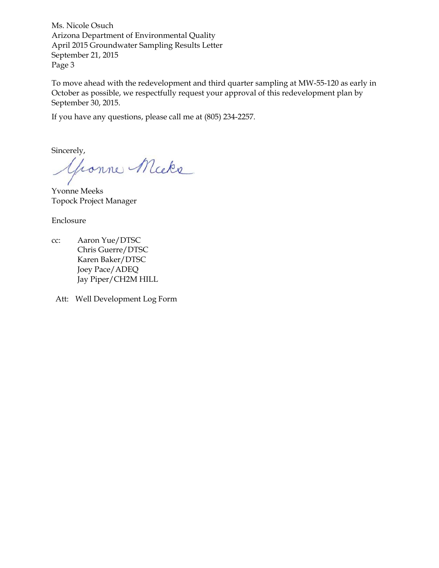Ms. Nicole Osuch Arizona Department of Environmental Quality April 2015 Groundwater Sampling Results Letter September 21, 2015 Page 3

To move ahead with the redevelopment and third quarter sampling at MW-55-120 as early in October as possible, we respectfully request your approval of this redevelopment plan by September 30, 2015.

If you have any questions, please call me at (805) 234-2257.

Sincerely,<br>George Micke

Yvonne Meeks Topock Project Manager

Enclosure

cc: Aaron Yue/DTSC Chris Guerre/DTSC Karen Baker/DTSC Joey Pace/ADEQ Jay Piper/CH2M HILL

Att: Well Development Log Form